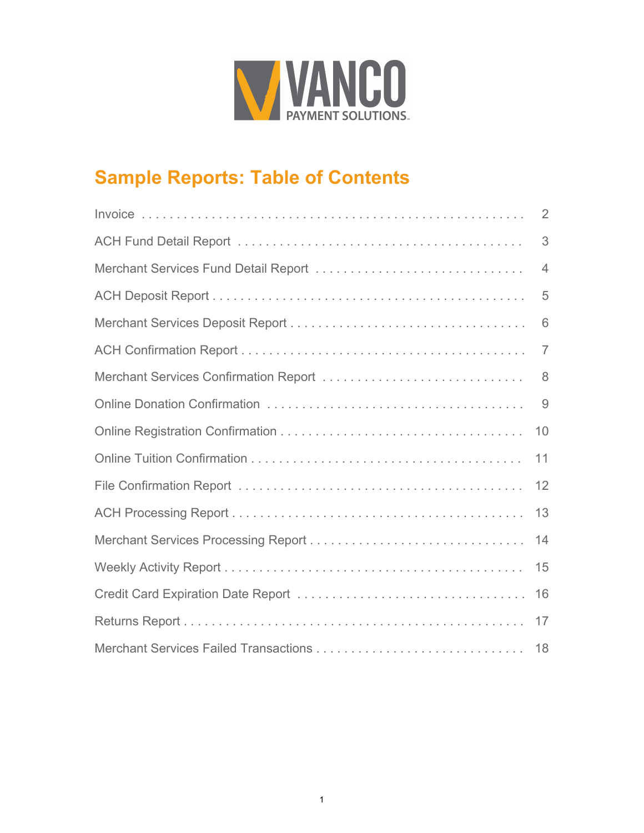

## **Sample Reports: Table of Contents**

|                                       | 2              |
|---------------------------------------|----------------|
|                                       | 3              |
| Merchant Services Fund Detail Report  | $\overline{4}$ |
|                                       | 5              |
|                                       | 6              |
|                                       | $\overline{7}$ |
| Merchant Services Confirmation Report | 8              |
|                                       | 9              |
|                                       | 10             |
|                                       | 11             |
|                                       | 12             |
|                                       | 13             |
|                                       | 14             |
|                                       | 15             |
|                                       | 16             |
|                                       | 17             |
|                                       | 18             |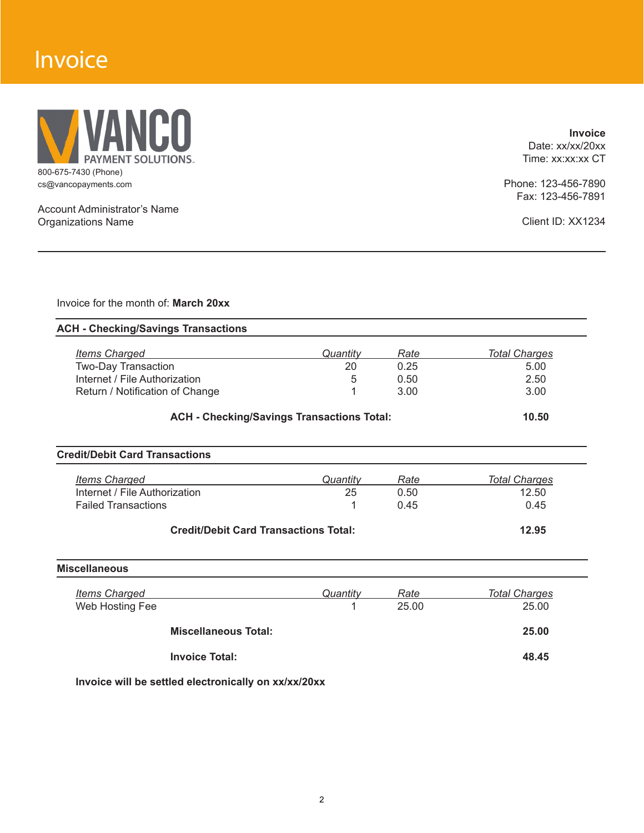## Invoice



Account Administrator's Name Organizations Name

**Invoice** Date: xx/xx/20xx Time: xx:xx:xx CT

Phone: 123-456-7890 Fax: 123-456-7891

Client ID: XX1234

Invoice for the month of: **March 20xx**

| <b>Items Charged</b>                         | Quantity                                          | Rate  | <b>Total Charges</b> |
|----------------------------------------------|---------------------------------------------------|-------|----------------------|
| Two-Day Transaction                          | 20                                                | 0.25  | 5.00                 |
| Internet / File Authorization                | 5                                                 | 0.50  | 2.50                 |
| Return / Notification of Change              |                                                   | 3.00  | 3.00                 |
|                                              | <b>ACH - Checking/Savings Transactions Total:</b> |       | 10.50                |
| <b>Credit/Debit Card Transactions</b>        |                                                   |       |                      |
| <b>Items Charged</b>                         | Quantity                                          | Rate  | <b>Total Charges</b> |
| Internet / File Authorization                | 25                                                | 0.50  | 12.50                |
| <b>Failed Transactions</b>                   |                                                   | 0.45  | 0.45                 |
| <b>Credit/Debit Card Transactions Total:</b> |                                                   |       | 12.95                |
| <b>Miscellaneous</b>                         |                                                   |       |                      |
|                                              | Quantity                                          | Rate  | <b>Total Charges</b> |
| <b>Items Charged</b>                         |                                                   | 25.00 | 25.00                |
| Web Hosting Fee                              |                                                   |       |                      |

 **Invoice Total: 48.45**

**Invoice will be settled electronically on xx/xx/20xx**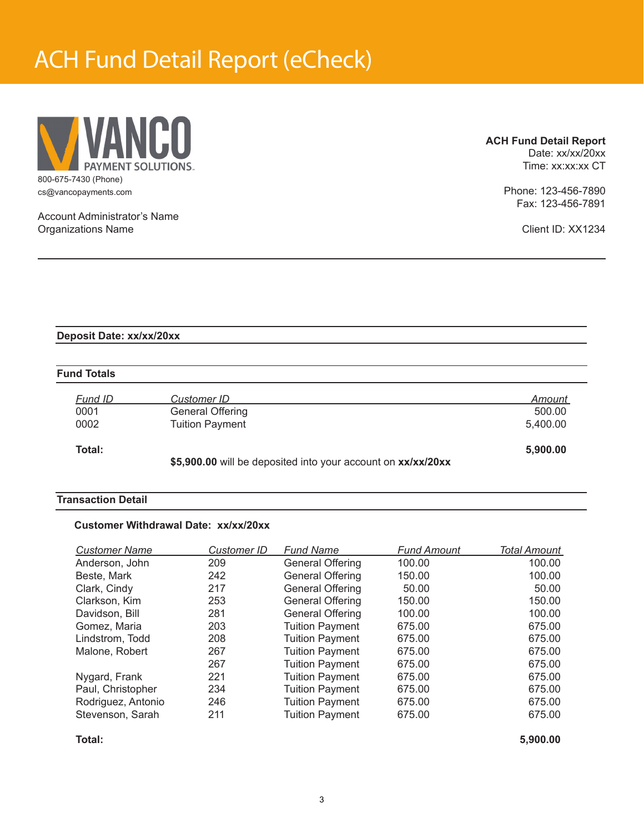## ACH Fund Detail Report (eCheck)



**ACH Fund Detail Report**

Date: xx/xx/20xx Time: xx:xx:xx CT

Phone: 123-456-7890 Fax: 123-456-7891

Client ID: XX1234

Account Administrator's Name Organizations Name

### **Deposit Date: xx/xx/20xx**

### **Fund Totals**

| Fund ID | Customer ID            | Amount   |
|---------|------------------------|----------|
| 0001    | General Offering       | 500.00   |
| 0002    | <b>Tuition Payment</b> | 5,400.00 |
| Total:  |                        | 5,900.00 |

 **\$5,900.00** will be deposited into your account on **xx/xx/20xx**

## **Transaction Detail**

### **Customer Withdrawal Date: xx/xx/20xx**

| <b>Customer Name</b> | <b>Customer ID</b> | <b>Fund Name</b>        | <b>Fund Amount</b> | Total Amount |
|----------------------|--------------------|-------------------------|--------------------|--------------|
| Anderson, John       | 209                | General Offering        | 100.00             | 100.00       |
| Beste, Mark          | 242                | <b>General Offering</b> | 150.00             | 100.00       |
| Clark, Cindy         | 217                | <b>General Offering</b> | 50.00              | 50.00        |
| Clarkson, Kim        | 253                | <b>General Offering</b> | 150.00             | 150.00       |
| Davidson, Bill       | 281                | <b>General Offering</b> | 100.00             | 100.00       |
| Gomez, Maria         | 203                | <b>Tuition Payment</b>  | 675.00             | 675.00       |
| Lindstrom, Todd      | 208                | <b>Tuition Payment</b>  | 675.00             | 675.00       |
| Malone, Robert       | 267                | <b>Tuition Payment</b>  | 675.00             | 675.00       |
|                      | 267                | <b>Tuition Payment</b>  | 675.00             | 675.00       |
| Nygard, Frank        | 221                | <b>Tuition Payment</b>  | 675.00             | 675.00       |
| Paul, Christopher    | 234                | <b>Tuition Payment</b>  | 675.00             | 675.00       |
| Rodriguez, Antonio   | 246                | <b>Tuition Payment</b>  | 675.00             | 675.00       |
| Stevenson, Sarah     | 211                | <b>Tuition Payment</b>  | 675.00             | 675.00       |

**Total: 5,900.00**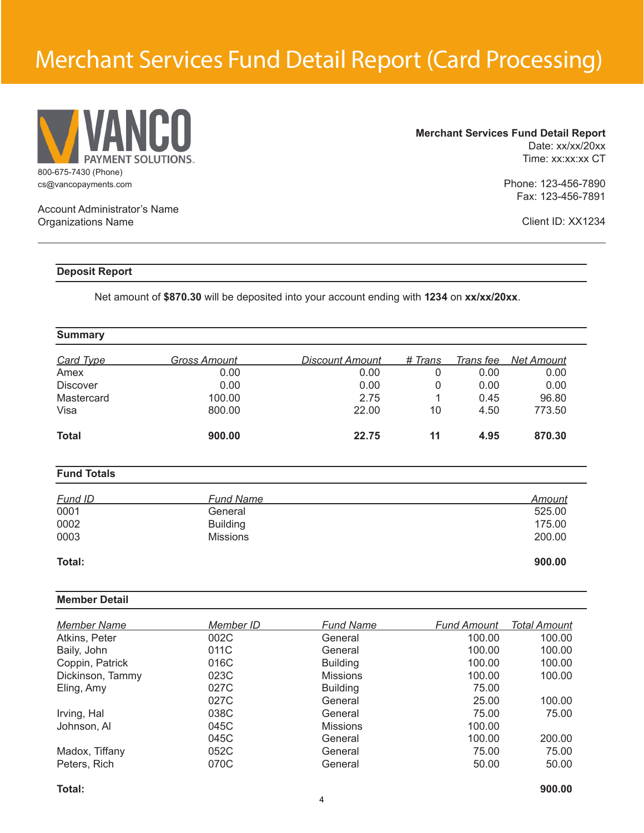## Merchant Services Fund Detail Report (Card Processing)



**Merchant Services Fund Detail Report** Date: xx/xx/20xx Time: xx:xx:xx CT

> Phone: 123-456-7890 Fax: 123-456-7891

> > Client ID: XX1234

## Account Administrator's Name Organizations Name

## **Deposit Report**

Net amount of **\$870.30** will be deposited into your account ending with **1234** on **xx/xx/20xx**.

## **Summary**

| Card Type       | Gross Amount | <b>Discount Amount</b> | # Trans | Trans fee | Net Amount |
|-----------------|--------------|------------------------|---------|-----------|------------|
| Amex            | 0.00         | 0.00                   |         | 0.00      | 0.00       |
| <b>Discover</b> | 0.00         | 0.00                   |         | 0.00      | 0.00       |
| Mastercard      | 100.00       | 2.75                   |         | 0.45      | 96.80      |
| Visa            | 800.00       | 22.00                  | 10      | 4.50      | 773.50     |
| <b>Total</b>    | 900.00       | 22.75                  | 11      | 4.95      | 870.30     |

### **Fund Totals**

| Fund ID | <b>Fund Name</b> | Amount |
|---------|------------------|--------|
| 0001    | General          | 525.00 |
| 0002    | <b>Building</b>  | 175.00 |
| 0003    | <b>Missions</b>  | 200.00 |
|         |                  |        |

#### **Total: 900.00**

### **Member Detail**

| <b>Member Name</b> | Member ID | <b>Fund Name</b> | <b>Fund Amount</b> | Total Amount |
|--------------------|-----------|------------------|--------------------|--------------|
| Atkins, Peter      | 002C      | General          | 100.00             | 100.00       |
| Baily, John        | 011C      | General          | 100.00             | 100.00       |
| Coppin, Patrick    | 016C      | <b>Building</b>  | 100.00             | 100.00       |
| Dickinson, Tammy   | 023C      | <b>Missions</b>  | 100.00             | 100.00       |
| Eling, Amy         | 027C      | <b>Building</b>  | 75.00              |              |
|                    | 027C      | General          | 25.00              | 100.00       |
| Irving, Hal        | 038C      | General          | 75.00              | 75.00        |
| Johnson, Al        | 045C      | <b>Missions</b>  | 100.00             |              |
|                    | 045C      | General          | 100.00             | 200.00       |
| Madox, Tiffany     | 052C      | General          | 75.00              | 75.00        |
| Peters, Rich       | 070C      | General          | 50.00              | 50.00        |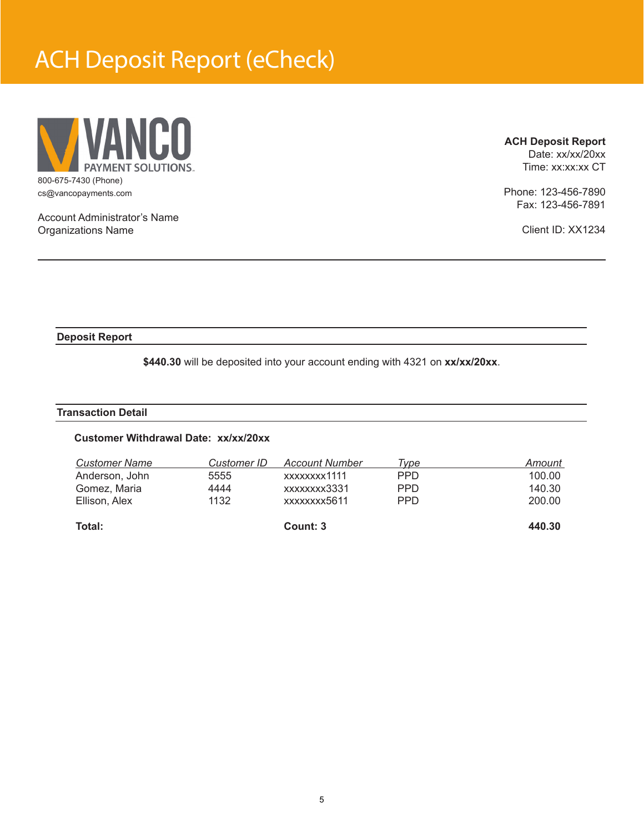## ACH Deposit Report (eCheck)



**ACH Deposit Report**

Date: xx/xx/20xx Time: xx:xx:xx CT

Phone: 123-456-7890 Fax: 123-456-7891

Client ID: XX1234

Account Administrator's Name Organizations Name

### **Deposit Report**

**\$440.30** will be deposited into your account ending with 4321 on **xx/xx/20xx**.

### **Transaction Detail**

### **Customer Withdrawal Date: xx/xx/20xx**

| Total:               |             | Count: 3              |            | 440.30 |
|----------------------|-------------|-----------------------|------------|--------|
| Ellison, Alex        | 1132        | xxxxxxxx5611          | <b>PPD</b> | 200.00 |
| Gomez, Maria         | 4444        | xxxxxxxx3331          | <b>PPD</b> | 140.30 |
| Anderson, John       | 5555        | xxxxxxxx1111          | <b>PPD</b> | 100.00 |
| <b>Customer Name</b> | Customer ID | <b>Account Number</b> | Type       | Amount |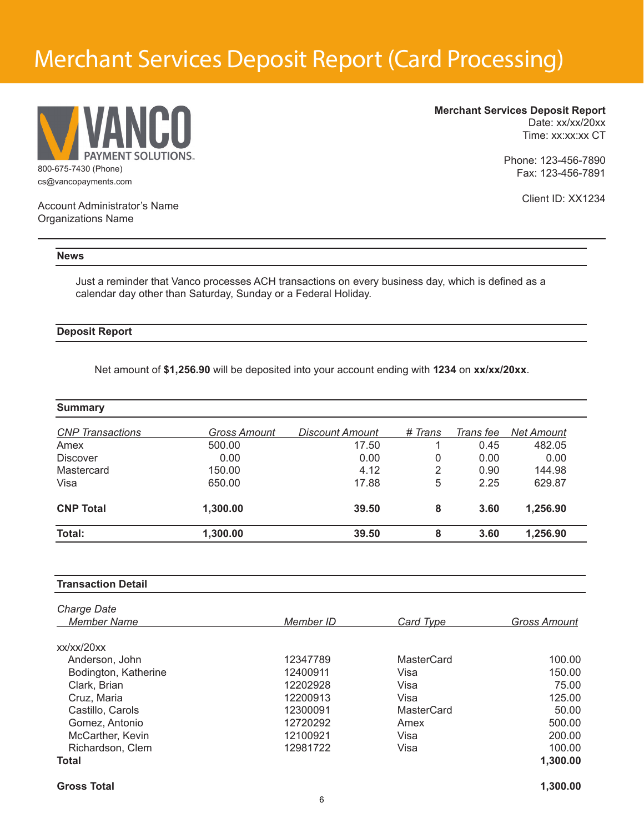## Merchant Services Deposit Report (Card Processing)



**Merchant Services Deposit Report**

Date: xx/xx/20xx Time: xx:xx:xx CT

Phone: 123-456-7890 Fax: 123-456-7891

Client ID: XX1234

Account Administrator's Name Organizations Name

#### **News**

Just a reminder that Vanco processes ACH transactions on every business day, which is defined as a calendar day other than Saturday, Sunday or a Federal Holiday.

### **Deposit Report**

Net amount of **\$1,256.90** will be deposited into your account ending with **1234** on **xx/xx/20xx**.

| <b>Summary</b>          |              |                 |         |           |                   |
|-------------------------|--------------|-----------------|---------|-----------|-------------------|
| <b>CNP</b> Transactions | Gross Amount | Discount Amount | # Trans | Trans fee | <b>Net Amount</b> |
| Amex                    | 500.00       | 17.50           |         | 0.45      | 482.05            |
| <b>Discover</b>         | 0.00         | 0.00            | 0       | 0.00      | 0.00              |
| Mastercard              | 150.00       | 4.12            | 2       | 0.90      | 144.98            |
| Visa                    | 650.00       | 17.88           | 5       | 2.25      | 629.87            |
| <b>CNP Total</b>        | 1,300.00     | 39.50           | 8       | 3.60      | 1,256.90          |
| Total:                  | 1,300.00     | 39.50           | 8       | 3.60      | 1,256.90          |

| <b>Transaction Detail</b>         |           |                   |                     |
|-----------------------------------|-----------|-------------------|---------------------|
| Charge Date<br><b>Member Name</b> | Member ID | Card Type         | <b>Gross Amount</b> |
| xx/xx/20xx                        |           |                   |                     |
| Anderson, John                    | 12347789  | <b>MasterCard</b> | 100.00              |
| Bodington, Katherine              | 12400911  | Visa              | 150.00              |
| Clark, Brian                      | 12202928  | Visa              | 75.00               |
| Cruz, Maria                       | 12200913  | Visa              | 125.00              |
| Castillo, Carols                  | 12300091  | MasterCard        | 50.00               |
| Gomez, Antonio                    | 12720292  | Amex              | 500.00              |
| McCarther, Kevin                  | 12100921  | Visa              | 200.00              |
| Richardson, Clem                  | 12981722  | Visa              | 100.00              |
| <b>Total</b>                      |           |                   | 1,300.00            |

**Gross Total 1,300.00**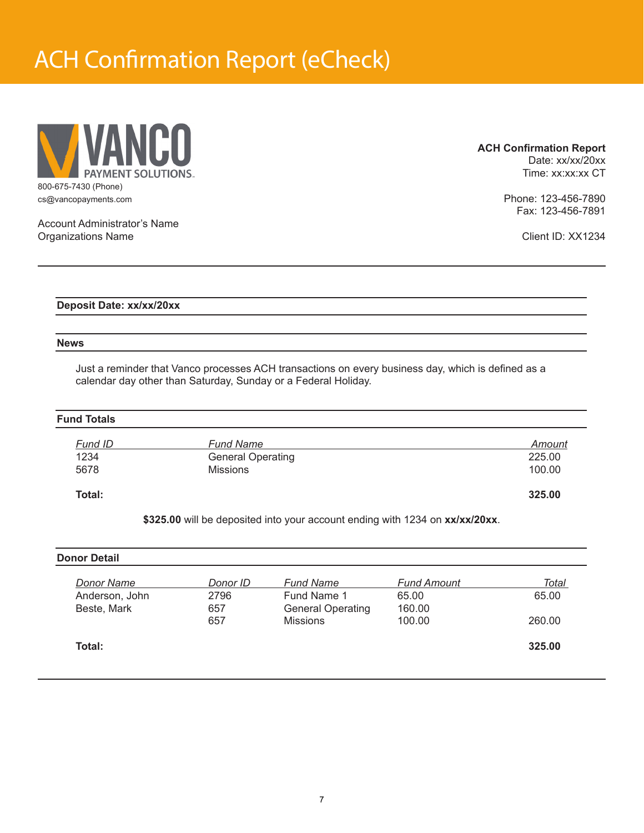## ACH Confirmation Report (eCheck)



**ACH Confirmation Report**

Date: xx/xx/20xx Time: xx:xx:xx CT

Phone: 123-456-7890 Fax: 123-456-7891

Account Administrator's Name Organizations Name

Client ID: XX1234

**Deposit Date: xx/xx/20xx**

#### **News**

Just a reminder that Vanco processes ACH transactions on every business day, which is defined as a calendar day other than Saturday, Sunday or a Federal Holiday.

### **Fund Totals**

| Total:  |                          | 325.00 |
|---------|--------------------------|--------|
| 5678    | <b>Missions</b>          | 100.00 |
| 1234    | <b>General Operating</b> | 225.00 |
| Fund ID | <b>Fund Name</b>         | Amount |

**\$325.00** will be deposited into your account ending with 1234 on **xx/xx/20xx**.

| <b>Donor Detail</b> |          |                          |                    |              |
|---------------------|----------|--------------------------|--------------------|--------------|
| <b>Donor Name</b>   | Donor ID | <b>Fund Name</b>         | <b>Fund Amount</b> | <u>Total</u> |
| Anderson, John      | 2796     | Fund Name 1              | 65.00              | 65.00        |
| Beste, Mark         | 657      | <b>General Operating</b> | 160.00             |              |
|                     | 657      | <b>Missions</b>          | 100.00             | 260.00       |
| Total:              |          |                          |                    | 325.00       |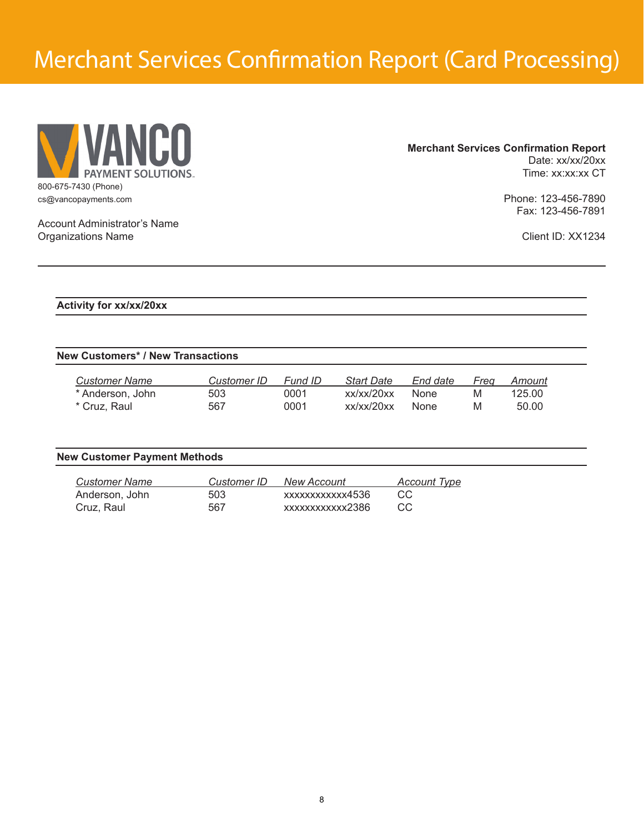## Merchant Services Confirmation Report (Card Processing)



## **Merchant Services Confirmation Report** Date: xx/xx/20xx

Time: xx:xx:xx CT

Phone: 123-456-7890 Fax: 123-456-7891

Client ID: XX1234

Account Administrator's Name Organizations Name

**Activity for xx/xx/20xx**

## **New Customers\* / New Transactions**

| Customer Name      | Customer ID | Fund ID | Start Date | End date    | Frea | Amount |
|--------------------|-------------|---------|------------|-------------|------|--------|
| * Anderson, John * | 503         | 0001    | xx/xx/20xx | None        | M    | 125.00 |
| * Cruz. Raul       | 567         | 0001    | xx/xx/20xx | <b>None</b> | M    | 50.00  |

| <b>New Customer Payment Methods</b> |             |                    |                     |
|-------------------------------------|-------------|--------------------|---------------------|
| <b>Customer Name</b>                | Customer ID | <b>New Account</b> | <u>Account Type</u> |
| Anderson, John                      | 503         | xxxxxxxxxxx4536    | CC                  |
| Cruz, Raul                          | 567         | xxxxxxxxxxxx2386   | CC.                 |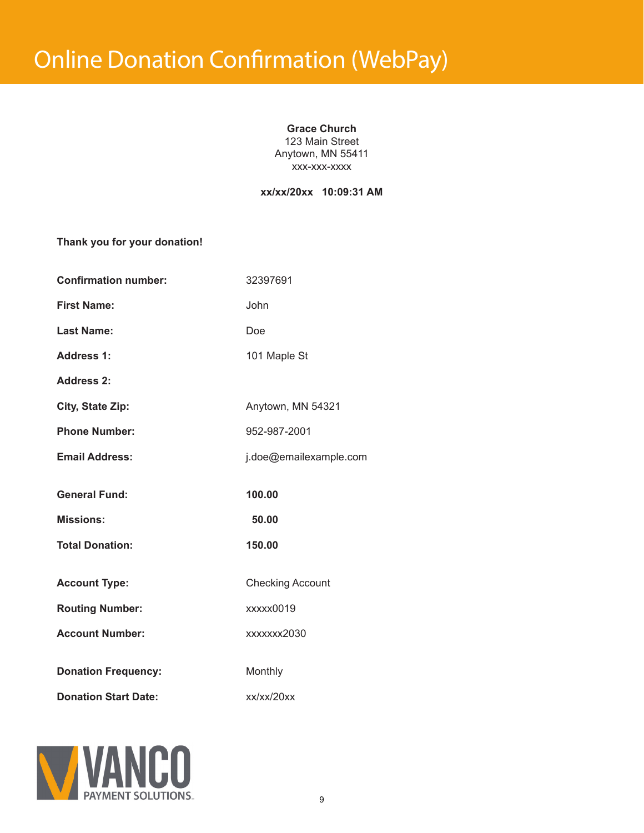### **Grace Church**

123 Main Street Anytown, MN 55411 xxx-xxx-xxxx

## **xx/xx/20xx 10:09:31 AM**

**Thank you for your donation!**

| <b>Confirmation number:</b> | 32397691                |
|-----------------------------|-------------------------|
| <b>First Name:</b>          | John                    |
| <b>Last Name:</b>           | Doe                     |
| <b>Address 1:</b>           | 101 Maple St            |
| <b>Address 2:</b>           |                         |
| <b>City, State Zip:</b>     | Anytown, MN 54321       |
| <b>Phone Number:</b>        | 952-987-2001            |
| <b>Email Address:</b>       | j.doe@emailexample.com  |
| <b>General Fund:</b>        | 100.00                  |
| <b>Missions:</b>            | 50.00                   |
| <b>Total Donation:</b>      | 150.00                  |
| <b>Account Type:</b>        | <b>Checking Account</b> |
| <b>Routing Number:</b>      | xxxxx0019               |
| <b>Account Number:</b>      | xxxxxxx2030             |
| <b>Donation Frequency:</b>  | Monthly                 |
| <b>Donation Start Date:</b> | xx/xx/20xx              |

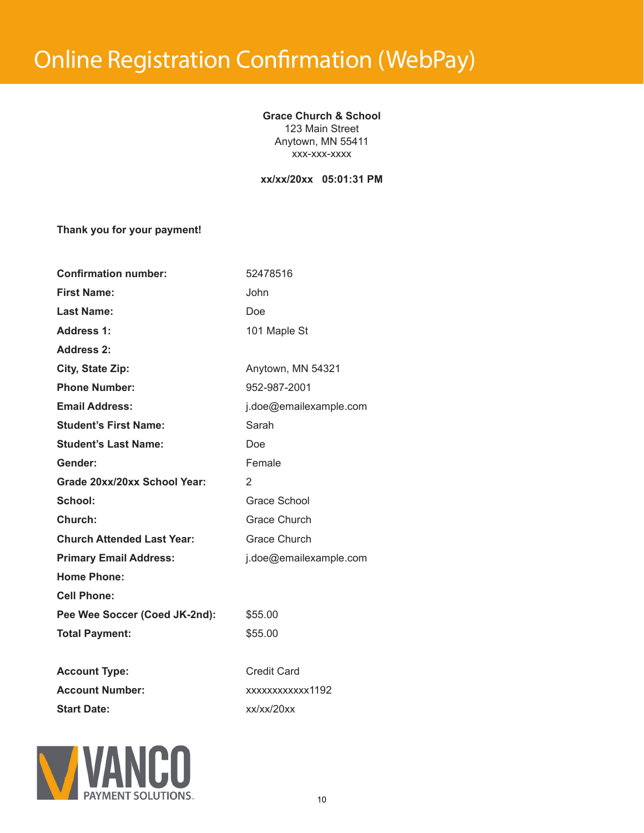**Grace Church & School** 123 Main Street Anytown, MN 55411 xxx-xxx-xxxx

**xx/xx/20xx 05:01:31 PM**

**Thank you for your payment!**

| <b>Confirmation number:</b>       | 52478516               |
|-----------------------------------|------------------------|
| <b>First Name:</b>                | John                   |
| <b>Last Name:</b>                 | Doe                    |
| <b>Address 1:</b>                 | 101 Maple St           |
| <b>Address 2:</b>                 |                        |
| City, State Zip:                  | Anytown, MN 54321      |
| <b>Phone Number:</b>              | 952-987-2001           |
| <b>Email Address:</b>             | j.doe@emailexample.com |
| <b>Student's First Name:</b>      | Sarah                  |
| <b>Student's Last Name:</b>       | Doe                    |
| Gender:                           | Female                 |
| Grade 20xx/20xx School Year:      | 2                      |
| School:                           | Grace School           |
| Church:                           | Grace Church           |
| <b>Church Attended Last Year:</b> | <b>Grace Church</b>    |
| <b>Primary Email Address:</b>     | j.doe@emailexample.com |
| <b>Home Phone:</b>                |                        |
| <b>Cell Phone:</b>                |                        |
| Pee Wee Soccer (Coed JK-2nd):     | \$55.00                |
| <b>Total Payment:</b>             | \$55.00                |
|                                   |                        |
| <b>Account Type:</b>              | <b>Credit Card</b>     |
| <b>Account Number:</b>            | xxxxxxxxxxx1192        |
| <b>Start Date:</b>                | xx/xx/20xx             |

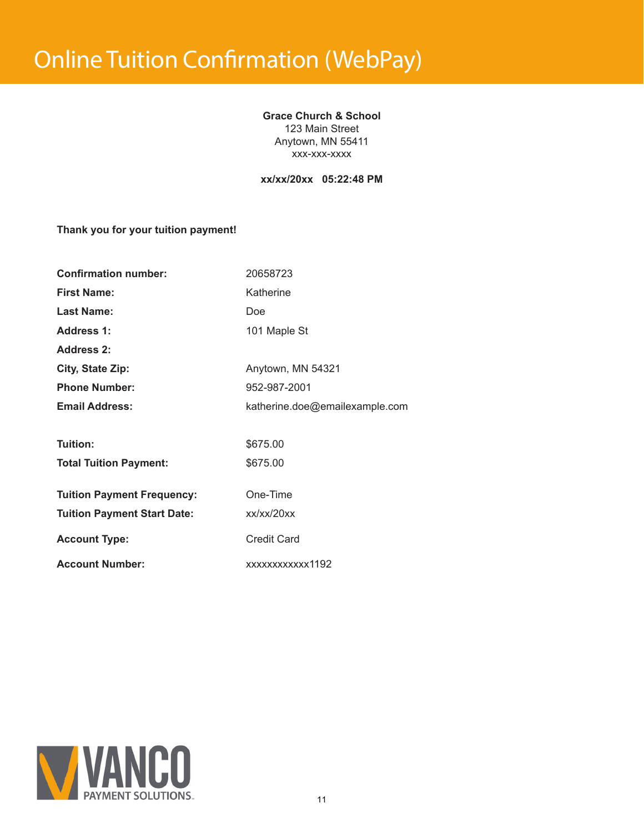# Online Tuition Confirmation (WebPay)

## **Grace Church & School** 123 Main Street Anytown, MN 55411

xxx-xxx-xxxx

**xx/xx/20xx 05:22:48 PM**

## **Thank you for your tuition payment!**

| <b>Confirmation number:</b>        | 20658723                       |
|------------------------------------|--------------------------------|
| <b>First Name:</b>                 | Katherine                      |
| <b>Last Name:</b>                  | Doe                            |
| <b>Address 1:</b>                  | 101 Maple St                   |
| <b>Address 2:</b>                  |                                |
| City, State Zip:                   | Anytown, MN 54321              |
| <b>Phone Number:</b>               | 952-987-2001                   |
| <b>Email Address:</b>              | katherine.doe@emailexample.com |
|                                    |                                |
| Tuition:                           | \$675.00                       |
| <b>Total Tuition Payment:</b>      | \$675.00                       |
|                                    |                                |
| <b>Tuition Payment Frequency:</b>  | One-Time                       |
| <b>Tuition Payment Start Date:</b> | xx/xx/20xx                     |
| <b>Account Type:</b>               | <b>Credit Card</b>             |
| <b>Account Number:</b>             | xxxxxxxxxxx1192                |

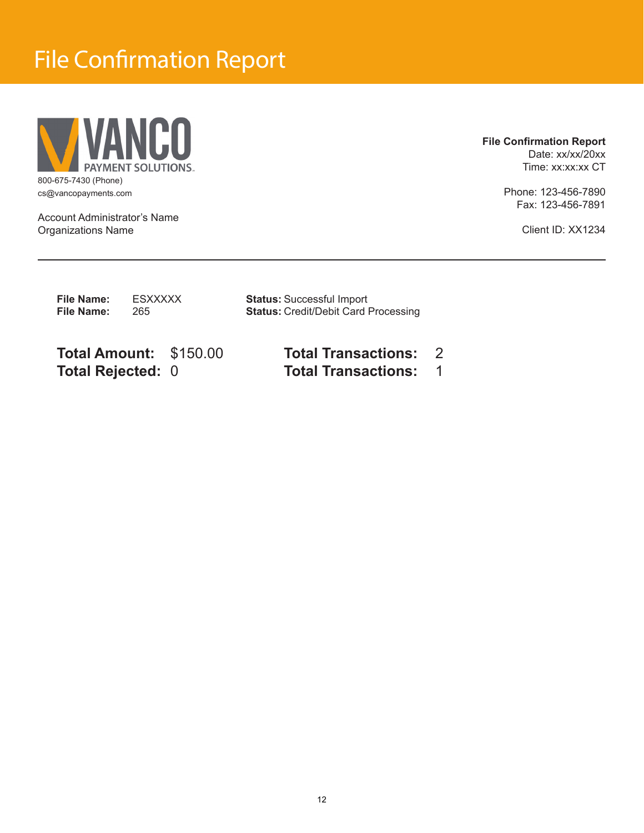## File Confirmation Report



cs@vancopayments.com

Account Administrator's Name Organizations Name

## **File Confirmation Report** Date: xx/xx/20xx

Time: xx:xx:xx CT

Phone: 123-456-7890 Fax: 123-456-7891

Client ID: XX1234

| File Name:        | ESXXXXX | <b>Status: Successful Import</b>            |
|-------------------|---------|---------------------------------------------|
| <b>File Name:</b> | 265     | <b>Status: Credit/Debit Card Processing</b> |

**Total Amount:** \$150.00 **Total Transactions:** 2 **Total Rejected:** 0 **Total Transactions:** 1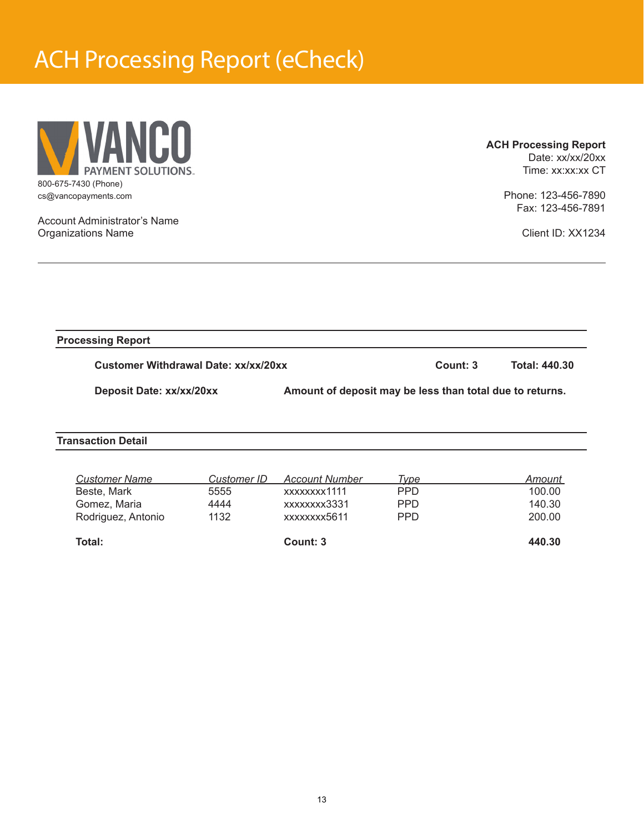## ACH Processing Report (eCheck)



Account Administrator's Name

Organizations Name

**ACH Processing Report** Date: xx/xx/20xx

Time: xx:xx:xx CT

Phone: 123-456-7890 Fax: 123-456-7891

Client ID: XX1234

**Processing Report**

**Customer Withdrawal Date: xx/xx/20xx Count: 3 Count: 3** Total: 440.30

**Deposit Date: xx/xx/20xx Amount of deposit may be less than total due to returns.** 

**Transaction Detail**

| Gomez, Maria       | 4444 | xxxxxxxx3331 | <b>PPD</b> | 140.30 |
|--------------------|------|--------------|------------|--------|
| Rodriguez, Antonio | 1132 | xxxxxxxx5611 | <b>PPD</b> | 200.00 |
| Total:             |      | Count: 3     |            | 440.30 |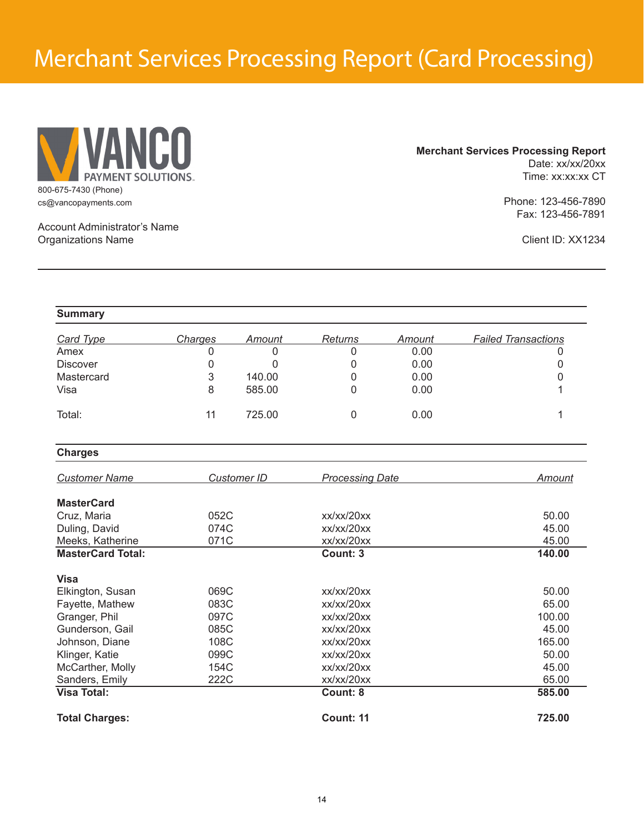## Merchant Services Processing Report (Card Processing)



**Merchant Services Processing Report** Date: xx/xx/20xx Time: xx:xx:xx CT

> Phone: 123-456-7890 Fax: 123-456-7891

Account Administrator's Name Organizations Name

Client ID: XX1234

| <b>Summary</b>           |                |                    |                        |        |                            |
|--------------------------|----------------|--------------------|------------------------|--------|----------------------------|
| <b>Card Type</b>         | <b>Charges</b> | Amount             | <b>Returns</b>         | Amount | <b>Failed Transactions</b> |
| Amex                     | 0              | 0                  | 0                      | 0.00   | 0                          |
| <b>Discover</b>          | 0              | 0                  | 0                      | 0.00   | 0                          |
| Mastercard               | 3              | 140.00             | 0                      | 0.00   | 0                          |
| Visa                     | 8              | 585.00             | 0                      | 0.00   | 1                          |
| Total:                   | 11             | 725.00             | $\mathbf 0$            | 0.00   | 1                          |
| <b>Charges</b>           |                |                    |                        |        |                            |
| <b>Customer Name</b>     |                | <b>Customer ID</b> | <b>Processing Date</b> |        | <b>Amount</b>              |
| <b>MasterCard</b>        |                |                    |                        |        |                            |
| Cruz, Maria              | 052C           |                    | xx/xx/20xx             |        | 50.00                      |
| Duling, David            | 074C           |                    | xx/xx/20xx             |        | 45.00                      |
| Meeks, Katherine         | 071C           |                    | xx/xx/20xx             |        | 45.00                      |
| <b>MasterCard Total:</b> |                |                    | Count: 3               |        | 140.00                     |
| <b>Visa</b>              |                |                    |                        |        |                            |
| Elkington, Susan         | 069C           |                    | xx/xx/20xx             |        | 50.00                      |
| Fayette, Mathew          | 083C           |                    | xx/xx/20xx             |        | 65.00                      |
| Granger, Phil            | 097C           |                    | xx/xx/20xx             |        | 100.00                     |
| Gunderson, Gail          | 085C           |                    | xx/xx/20xx             |        | 45.00                      |
| Johnson, Diane           | 108C           |                    | xx/xx/20xx             |        | 165.00                     |
| Klinger, Katie           | 099C           |                    | xx/xx/20xx             |        | 50.00                      |
| McCarther, Molly         | 154C           |                    | xx/xx/20xx             |        | 45.00                      |
| Sanders, Emily           | 222C           |                    | xx/xx/20xx             |        | 65.00                      |
| <b>Visa Total:</b>       |                |                    | Count: 8               |        | 585.00                     |
| <b>Total Charges:</b>    |                |                    | <b>Count: 11</b>       |        | 725.00                     |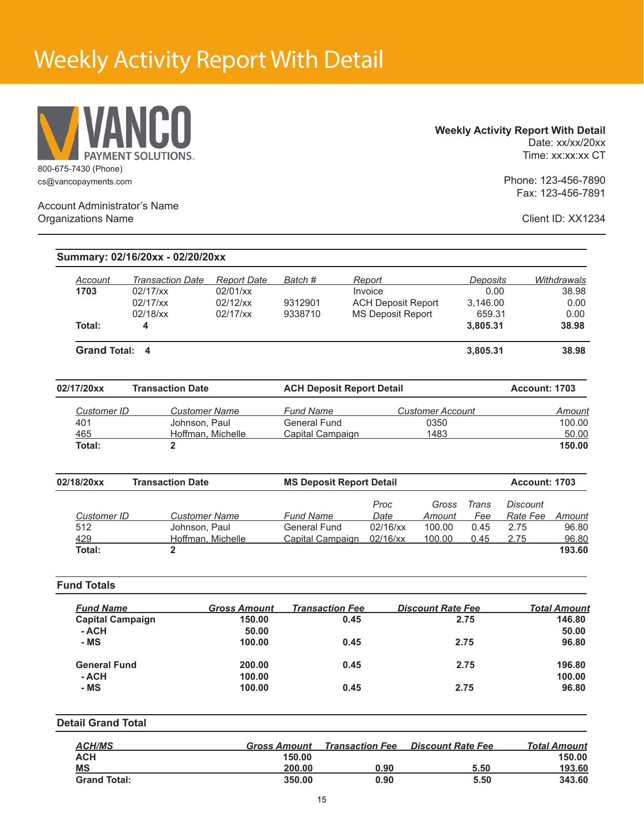## Weekly Activity Report With Detail



### **Weekly Activity Report With Detail** Date: xx/xx/20xx

Time: xx:xx:xx CT

Phone: 123-456-7890 Fax: 123-456-7891

Account Administrator's Name Organizations Name

Client ID: XX1234

|                           |                                     |                                | Batch #                          |                           |                          |                         |                      |                      |
|---------------------------|-------------------------------------|--------------------------------|----------------------------------|---------------------------|--------------------------|-------------------------|----------------------|----------------------|
| Account<br>1703           | <b>Transaction Date</b><br>02/17/xx | <b>Report Date</b><br>02/01/xx |                                  | Report<br>Invoice         |                          | <b>Deposits</b><br>0.00 |                      | Withdrawals<br>38.98 |
|                           | 02/17/xx                            | 02/12/xx                       | 9312901                          | <b>ACH Deposit Report</b> |                          | 3,146.00                |                      | 0.00                 |
|                           | 02/18/xx                            | 02/17/xx                       | 9338710                          | <b>MS Deposit Report</b>  |                          | 659.31                  |                      | 0.00                 |
| Total:                    | 4                                   |                                |                                  |                           |                          | 3,805.31                |                      | 38.98                |
| Grand Total: 4            |                                     |                                |                                  |                           |                          | 3,805.31                |                      | 38.98                |
| 02/17/20xx                | <b>Transaction Date</b>             |                                | <b>ACH Deposit Report Detail</b> |                           |                          |                         | Account: 1703        |                      |
| <b>Customer ID</b>        | <b>Customer Name</b>                |                                | <b>Fund Name</b>                 |                           | <b>Customer Account</b>  |                         |                      | Amount               |
| 401                       | Johnson, Paul                       |                                | <b>General Fund</b>              |                           | 0350                     |                         |                      | 100.00               |
| 465                       | Hoffman, Michelle                   |                                | Capital Campaign                 |                           | 1483                     |                         |                      | 50.00                |
| Total:                    | $\overline{2}$                      |                                |                                  |                           |                          |                         |                      | 150.00               |
| 02/18/20xx                | <b>Transaction Date</b>             |                                | <b>MS Deposit Report Detail</b>  |                           |                          |                         | <b>Account: 1703</b> |                      |
|                           |                                     |                                |                                  | Proc                      | Gross                    | Trans                   | <b>Discount</b>      |                      |
| <b>Customer ID</b>        | <b>Customer Name</b>                |                                | <b>Fund Name</b>                 | Date                      | Amount                   | Fee                     | Rate Fee             | <b>Amount</b>        |
| 512                       | Johnson, Paul                       |                                | <b>General Fund</b>              | 02/16/xx                  | 100.00                   | 0.45                    | 2.75                 | 96.80                |
| 429                       | Hoffman, Michelle                   |                                | Capital Campaign 02/16/xx        |                           | 100.00                   | 0.45                    | 2.75                 | 96.80                |
| <b>Total:</b>             | $\overline{2}$                      |                                |                                  |                           |                          |                         |                      | 193.60               |
| <b>Fund Totals</b>        |                                     |                                |                                  |                           |                          |                         |                      |                      |
| <b>Fund Name</b>          |                                     | <b>Gross Amount</b>            | <b>Transaction Fee</b>           |                           | <b>Discount Rate Fee</b> |                         |                      | <b>Total Amount</b>  |
| <b>Capital Campaign</b>   |                                     | 150.00                         | 0.45                             |                           |                          | 2.75                    |                      | 146.80               |
| - ACH                     |                                     | 50.00                          |                                  |                           |                          |                         |                      | 50.00                |
| - MS                      |                                     | 100.00                         | 0.45                             |                           |                          | 2.75                    |                      | 96.80                |
| <b>General Fund</b>       |                                     | 200.00                         | 0.45                             |                           |                          | 2.75                    |                      | 196.80               |
| - ACH                     |                                     | 100.00                         |                                  |                           |                          |                         |                      | 100.00               |
| - MS                      |                                     | 100.00                         | 0.45                             |                           |                          | 2.75                    |                      | 96.80                |
|                           |                                     |                                |                                  |                           |                          |                         |                      |                      |
| <b>Detail Grand Total</b> |                                     |                                |                                  |                           |                          |                         |                      |                      |

| <b>ACH/MS</b>       | <b>Gross Amount</b> | <b>Transaction Fee</b> | <b>Discount Rate Fee</b> | <b>Total Amount</b> |
|---------------------|---------------------|------------------------|--------------------------|---------------------|
| <b>ACH</b>          | 150.00              |                        |                          | 150.00              |
| <b>MS</b>           | 200.00              | 0.90                   | 5.50                     | 193.60              |
| <b>Grand Total:</b> | 350.00              | 0.90                   | 5.50                     | 343.60              |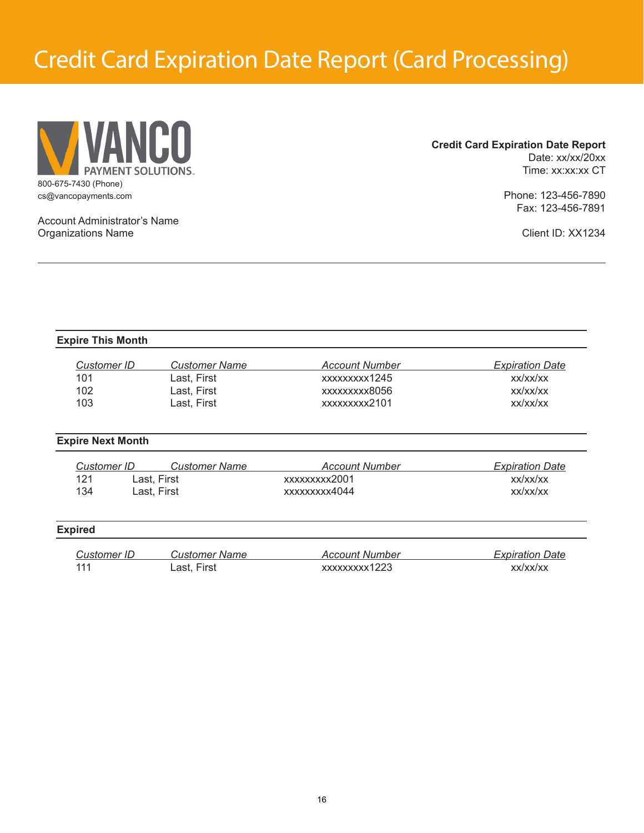## Credit Card Expiration Date Report (Card Processing)



### **Credit Card Expiration Date Report** Date: xx/xx/20xx Time: xx:xx:xx CT

Phone: 123-456-7890 Fax: 123-456-7891

Account Administrator's Name Organizations Name

Client ID: XX1234

### **Expire This Month**

| Customer ID | <b>Customer Name</b> | Account Number | <b>Expiration Date</b> |
|-------------|----------------------|----------------|------------------------|
| 101         | Last. First          | xxxxxxxxx1245  | XX/XX/XX               |
| 102         | Last. First          | xxxxxxxxx8056  | XX/XX/XX               |
| 103         | Last. First          | xxxxxxxxx2101  | XX/XX/XX               |

### **Expire Next Month**

| Customer ID . | <b>Customer Name</b> | Account Number | <b>Expiration Date</b> |
|---------------|----------------------|----------------|------------------------|
| 121           | ∟ast. First          | xxxxxxxxx2001  | XX/XX/XX               |
| 134           | ∟ast. First          | xxxxxxxx4044   | XX/XX/XX               |

### **Expired**

| Customer ID | Customer Name | Account Number | <b>Expiration Date</b> |
|-------------|---------------|----------------|------------------------|
| -111        | ∟ast, First   | xxxxxxxxx1223  | xx/xx/xx               |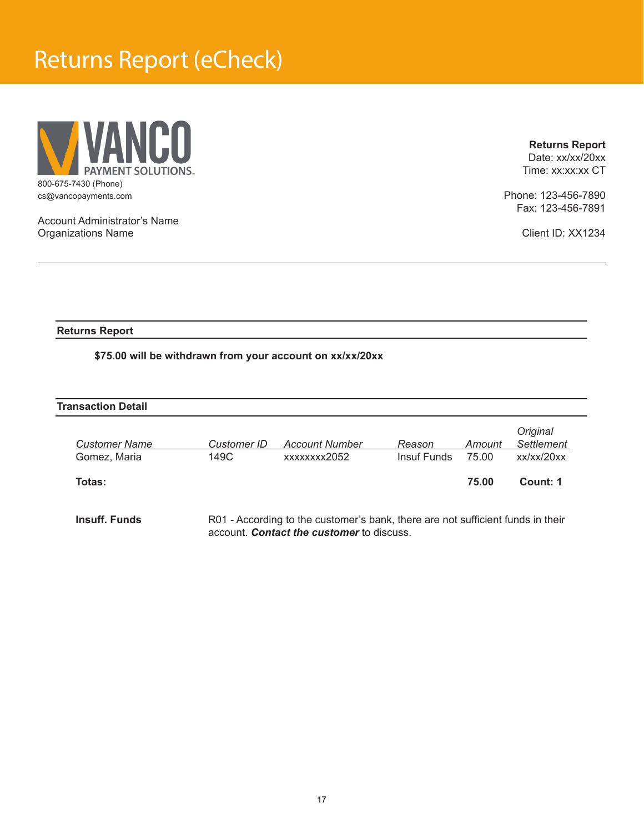## Returns Report (eCheck)



**Returns Report**

Date: xx/xx/20xx Time: xx:xx:xx CT

Phone: 123-456-7890 Fax: 123-456-7891

Client ID: XX1234

Account Administrator's Name Organizations Name

### **Returns Report**

### **\$75.00 will be withdrawn from your account on xx/xx/20xx**

| <b>Transaction Detail</b> |                    |                                                                                 |             |        |                        |
|---------------------------|--------------------|---------------------------------------------------------------------------------|-------------|--------|------------------------|
| <b>Customer Name</b>      | <b>Customer ID</b> | <b>Account Number</b>                                                           | Reason      | Amount | Original<br>Settlement |
| Gomez, Maria              | 149C               | xxxxxxxx2052                                                                    | Insuf Funds | 75.00  | xx/xx/20xx             |
| Totas:                    |                    |                                                                                 |             | 75.00  | Count: 1               |
| Insuff. Funds             |                    | R01 - According to the customer's bank, there are not sufficient funds in their |             |        |                        |

account. *Contact the customer* to discuss.